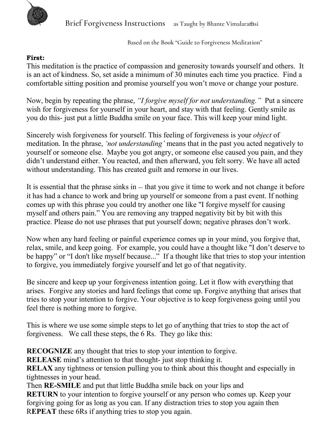

 *Based on the Book "Guide to Forgiveness Meditation"*

## **First:**

This meditation is the practice of compassion and generosity towards yourself and others. It is an act of kindness. So, set aside a minimum of 30 minutes each time you practice. Find a comfortable sitting position and promise yourself you won't move or change your posture.

Now, begin by repeating the phrase, *"I forgive myself for not understanding."* Put a sincere wish for forgiveness for yourself in your heart, and stay with that feeling. Gently smile as you do this- just put a little Buddha smile on your face. This will keep your mind light.

Sincerely wish forgiveness for yourself. This feeling of forgiveness is your *object* of meditation. In the phrase, *'not understanding'* means that in the past you acted negatively to yourself or someone else. Maybe you got angry, or someone else caused you pain, and they didn't understand either. You reacted, and then afterward, you felt sorry. We have all acted without understanding. This has created guilt and remorse in our lives.

It is essential that the phrase sinks in  $-$  that you give it time to work and not change it before it has had a chance to work and bring up yourself or someone from a past event. If nothing comes up with this phrase you could try another one like "I forgive myself for causing myself and others pain." You are removing any trapped negativity bit by bit with this practice. Please do not use phrases that put yourself down; negative phrases don't work.

Now when any hard feeling or painful experience comes up in your mind, you forgive that, relax, smile, and keep going. For example, you could have a thought like "I don't deserve to be happy" or "I don't like myself because..." If a thought like that tries to stop your intention to forgive, you immediately forgive yourself and let go of that negativity.

Be sincere and keep up your forgiveness intention going. Let it flow with everything that arises. Forgive any stories and hard feelings that come up. Forgive anything that arises that tries to stop your intention to forgive. Your objective is to keep forgiveness going until you feel there is nothing more to forgive.

This is where we use some simple steps to let go of anything that tries to stop the act of forgiveness. We call these steps, the 6 Rs. They go like this:

**RECOGNIZE** any thought that tries to stop your intention to forgive.

**RELEASE** mind's attention to that thought- just stop thinking it.

**RELAX** any tightness or tension pulling you to think about this thought and especially in tightnesses in your head.

Then **RE-SMILE** and put that little Buddha smile back on your lips and **RETURN** to your intention to forgive yourself or any person who comes up. Keep your forgiving going for as long as you can. If any distraction tries to stop you again then R**EPEAT** these 6Rs if anything tries to stop you again.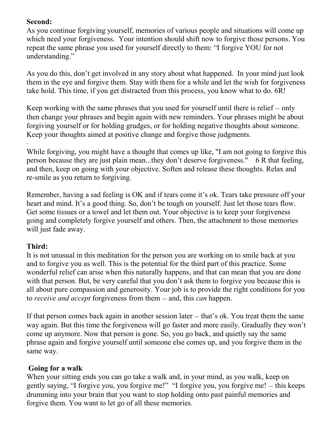## **Second:**

As you continue forgiving yourself, memories of various people and situations will come up which need your forgiveness. Your intention should shift now to forgive those persons. You repeat the same phrase you used for yourself directly to them: "I forgive YOU for not understanding."

As you do this, don't get involved in any story about what happened. In your mind just look them in the eye and forgive them. Stay with them for a while and let the wish for forgiveness take hold. This time, if you get distracted from this process, you know what to do. 6R!

Keep working with the same phrases that you used for yourself until there is relief — only then change your phrases and begin again with new reminders. Your phrases might be about forgiving yourself or for holding grudges, or for holding negative thoughts about someone. Keep your thoughts aimed at positive change and forgive those judgments.

While forgiving, you might have a thought that comes up like, "I am not going to forgive this person because they are just plain mean...they don't deserve forgiveness." 6 R that feeling, and then, keep on going with your objective. Soften and release these thoughts. Relax and re-smile as you return to forgiving.

Remember, having a sad feeling is OK and if tears come it's ok. Tears take pressure off your heart and mind. It's a good thing. So, don't be tough on yourself. Just let those tears flow. Get some tissues or a towel and let them out. Your objective is to keep your forgiveness going and completely forgive yourself and others. Then, the attachment to those memories will just fade away.

## **Third:**

It is not unusual in this meditation for the person you are working on to smile back at you and to forgive you as well. This is the potential for the third part of this practice. Some wonderful relief can arise when this naturally happens, and that can mean that you are done with that person. But, be very careful that you don't ask them to forgive you because this is all about pure compassion and generosity. Your job is to provide the right conditions for you to *receive and accept* forgiveness from them — and, this *can* happen.

If that person comes back again in another session later — that's ok. You treat them the same way again. But this time the forgiveness will go faster and more easily. Gradually they won't come up anymore. Now that person is gone. So, you go back, and quietly say the same phrase again and forgive yourself until someone else comes up, and you forgive them in the same way.

## **Going for a walk**

When your sitting ends you can go take a walk and, in your mind, as you walk, keep on gently saying, "I forgive you, you forgive me!" "I forgive you, you forgive me! — this keeps drumming into your brain that you want to stop holding onto past painful memories and forgive them. You want to let go of all these memories.